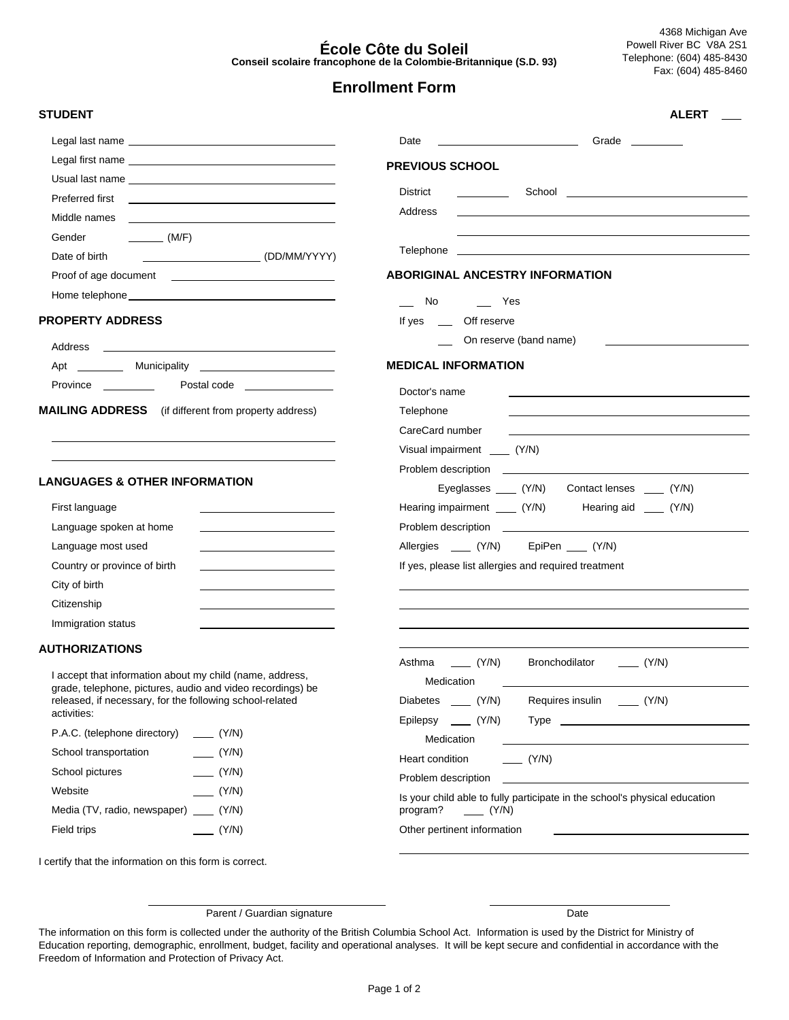#### **École Côte du Soleil Conseil scolaire francophone de la Colombie-Britannique (S.D. 93)**

**ALERT**

# **Enrollment Form**

**PREVIOUS SCHOOL**

Address

Telephone

Date Grade

**ABORIGINAL ANCESTRY INFORMATION**

On reserve (band name)

 No Yes If yes \_\_\_\_ Off reserve

Visual impairment \_\_\_\_ (Y/N)

Problem description

Problem description

**MEDICAL INFORMATION**

Doctor's name Telephone CareCard number

District School

#### **STUDENT**

| Preferred first<br><u> The Communication of the Communication</u>                                                                              |
|------------------------------------------------------------------------------------------------------------------------------------------------|
| Middle names<br><u> 1989 - Andrea Stationen, Amerikaansk politiker (</u>                                                                       |
| Gender<br>$\overline{\phantom{a}}$ (M/F)                                                                                                       |
| (DD/MM/YYYY)<br>Date of birth                                                                                                                  |
| Proof of age document<br><u> 1989 - Johann Harry Harry Harry Harry Harry Harry Harry Harry Harry Harry Harry Harry Harry Harry Harry Harry</u> |
|                                                                                                                                                |

#### **PROPERTY ADDRESS**

 $\overline{a}$ 

| Address  |              |
|----------|--------------|
| Apt      | Municipality |
| Province | Postal code  |

**MAILING ADDRESS** (if different from property address)

#### **LANGUAGES & OTHER INFORMATION**

| First language               |  |
|------------------------------|--|
| Language spoken at home      |  |
| Language most used           |  |
| Country or province of birth |  |
| City of birth                |  |
| Citizenship                  |  |
| Immigration status           |  |

### **AUTHORIZATIONS**

I accept that information about my child (name, address, grade, telephone, pictures, audio and video recordings) be released, if necessary, for the following school-related activities:

| P.A.C. (telephone directory)       | (Y/N) |
|------------------------------------|-------|
| School transportation              | (Y/N) |
| School pictures                    | (Y/N) |
| Website                            | (Y/N) |
| Media (TV, radio, newspaper) (Y/N) |       |
| Field trips                        | (Y/N) |

| If yes, please list allergies and required treatment                                                |                                                                                                                       |  |  |  |  |
|-----------------------------------------------------------------------------------------------------|-----------------------------------------------------------------------------------------------------------------------|--|--|--|--|
|                                                                                                     |                                                                                                                       |  |  |  |  |
|                                                                                                     |                                                                                                                       |  |  |  |  |
|                                                                                                     |                                                                                                                       |  |  |  |  |
|                                                                                                     |                                                                                                                       |  |  |  |  |
| Asthma _____ (Y/N)                                                                                  | Bronchodilator _______ (Y/N)                                                                                          |  |  |  |  |
| Medication                                                                                          | the control of the control of the control of the control of the control of the control of                             |  |  |  |  |
|                                                                                                     | Diabetes _____ (Y/N) Requires insulin _____ (Y/N)                                                                     |  |  |  |  |
|                                                                                                     |                                                                                                                       |  |  |  |  |
| Medication                                                                                          |                                                                                                                       |  |  |  |  |
| $\sqrt{(Y/N)}$<br>Heart condition                                                                   |                                                                                                                       |  |  |  |  |
| Problem description                                                                                 | <u> 1980 - John Harry Harry Harry Harry Harry Harry Harry Harry Harry Harry Harry Harry Harry Harry Harry Harry H</u> |  |  |  |  |
| Is your child able to fully participate in the school's physical education<br>program? ______ (Y/N) |                                                                                                                       |  |  |  |  |
| Other pertinent information                                                                         |                                                                                                                       |  |  |  |  |
|                                                                                                     |                                                                                                                       |  |  |  |  |
|                                                                                                     |                                                                                                                       |  |  |  |  |

Eyeglasses \_\_\_\_ (Y/N) Contact lenses \_\_\_\_ (Y/N)

Hearing impairment \_\_\_\_ (Y/N) Hearing aid \_\_\_\_ (Y/N)

Allergies \_\_\_\_ (Y/N) EpiPen \_\_\_ (Y/N)

I certify that the information on this form is correct.

 $\overline{a}$ 

Parent / Guardian signature Date

The information on this form is collected under the authority of the British Columbia School Act. Information is used by the District for Ministry of Education reporting, demographic, enrollment, budget, facility and operational analyses. It will be kept secure and confidential in accordance with the Freedom of Information and Protection of Privacy Act.